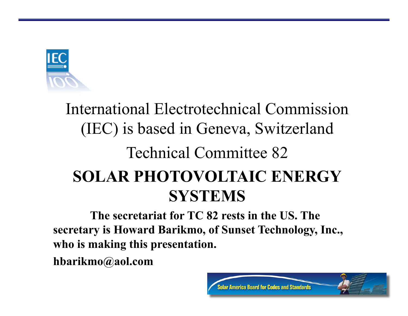

#### International Electrotechnical Commission (IEC) is based in Geneva, Switzerland Technical Committee 82 **SOLAR PHOTOVOLTAIC ENERGY SYSTEMS**

**The secretariat for TC 82 rests in the US. The secretary is Howard Barikmo, of Sunset Technology, Inc., who is making this presentation.** 

**hbarikmo@aol.com**

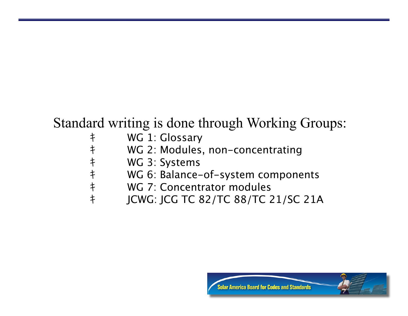#### Standard writing is done through Working Groups:

- キ WG 1: Glossary
- キ WG 2: Modules, non-concentrating
	-
- キ<br>キ WG 6: Balance-<br>キ WG 7: Concent WG 6: Balance-of-system components
- キ WG 7: Concentrator modules<br>キ ICWG: ICG TC 82/TC 88/TC 2
	- キ JCWG: JCG TC 82/TC 88/TC 21/SC 21A

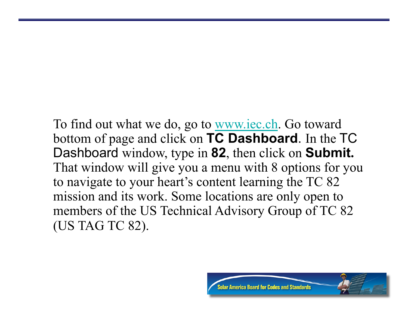To find out what we do, go to <u>www.iec.ch</u>. Go toward bottom of page and click on **TC Dashboard**. In the TC Dashboard window, type in **82**, then click on **Submit.** That window will give you a menu with 8 options for you to navigate to your heart's content learning the TC 82 mission and its work. Some locations are only open to members of the US Technical Advisory Group of TC 82 (US TAG TC 82).

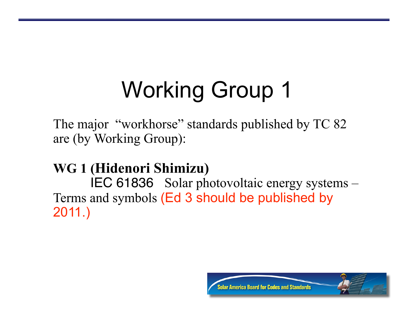The major "workhorse" standards published by TC 82 are (by Working Group):

#### **WG 1 (Hidenori Shimizu)**

IEC 61836 Solar photovoltaic energy systems – Terms and symbols (Ed 3 should be published by 2011.)

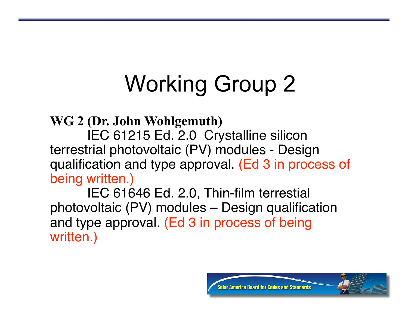**WG 2 (Dr. John Wohlgemuth)** 

IEC 61215 Ed. 2.0 Crystalline silicon terrestrial photovoltaic (PV) modules - Design qualification and type approval. (Ed 3 in process of being written.)

IEC 61646 Ed. 2.0, Thin-film terrestial photovoltaic (PV) modules – Design qualification and type approval. (Ed 3 in process of being written.)

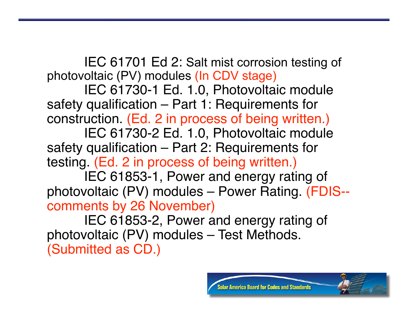IEC 61701 Ed 2: Salt mist corrosion testing of photovoltaic (PV) modules (In CDV stage)

IEC 61730-1 Ed. 1.0, Photovoltaic module safety qualification – Part 1: Requirements for construction. (Ed. 2 in process of being written.)

IEC 61730-2 Ed. 1.0, Photovoltaic module safety qualification – Part 2: Requirements for testing. (Ed. 2 in process of being written.)

IEC 61853-1, Power and energy rating of photovoltaic (PV) modules – Power Rating. (FDIS- comments by 26 November)

IEC 61853-2, Power and energy rating of photovoltaic (PV) modules – Test Methods. (Submitted as CD.)

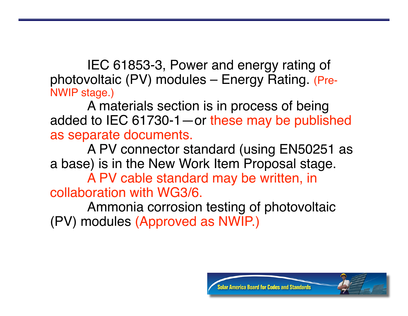IEC 61853-3, Power and energy rating of photovoltaic (PV) modules – Energy Rating. (Pre-NWIP stage.)

A materials section is in process of being added to IEC 61730-1—or these may be published as separate documents.

A PV connector standard (using EN50251 as a base) is in the New Work Item Proposal stage.

A PV cable standard may be written, in collaboration with WG3/6.

Ammonia corrosion testing of photovoltaic (PV) modules (Approved as NWIP.)

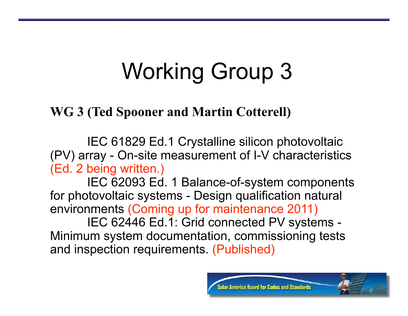#### **WG 3 (Ted Spooner and Martin Cotterell)**

IEC 61829 Ed.1 Crystalline silicon photovoltaic (PV) array - On-site measurement of I-V characteristics (Ed. 2 being written.)

IEC 62093 Ed. 1 Balance-of-system components for photovoltaic systems - Design qualification natural environments (Coming up for maintenance 2011)

IEC 62446 Ed.1: Grid connected PV systems - Minimum system documentation, commissioning tests and inspection requirements. (Published)

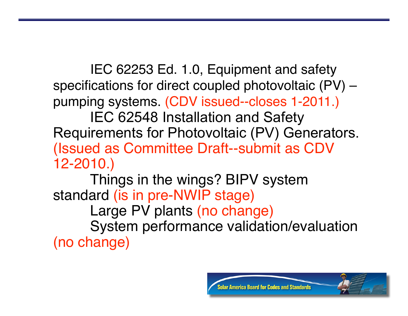IEC 62253 Ed. 1.0, Equipment and safety specifications for direct coupled photovoltaic (PV) – pumping systems. (CDV issued--closes 1-2011.)

IEC 62548 Installation and Safety Requirements for Photovoltaic (PV) Generators. (Issued as Committee Draft--submit as CDV 12-2010.)

Things in the wings? BIPV system standard (is in pre-NWIP stage) Large PV plants (no change) System performance validation/evaluation (no change)

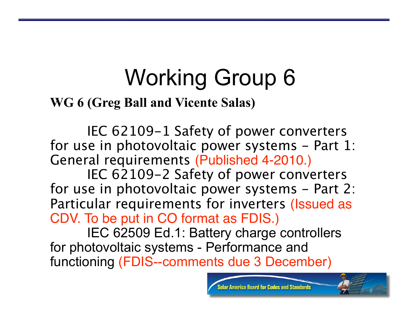**WG 6 (Greg Ball and Vicente Salas)** 

IEC 62109-1 Safety of power converters for use in photovoltaic power systems - Part 1: General requirements (Published 4-2010.)

IEC 62109-2 Safety of power converters for use in photovoltaic power systems - Part 2: Particular requirements for inverters (Issued as CDV. To be put in CO format as FDIS.)

IEC 62509 Ed.1: Battery charge controllers for photovoltaic systems - Performance and functioning (FDIS--comments due 3 December)

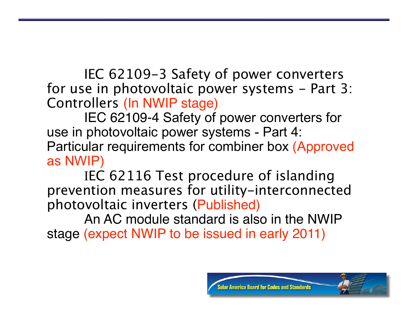IEC 62109-3 Safety of power converters for use in photovoltaic power systems - Part 3: Controllers (In NWIP stage)

IEC 62109-4 Safety of power converters for use in photovoltaic power systems - Part 4: Particular requirements for combiner box (Approved as NWIP)

IEC 62116 Test procedure of islanding prevention measures for utility-interconnected photovoltaic inverters (Published)

An AC module standard is also in the NWIP stage (expect NWIP to be issued in early 2011)

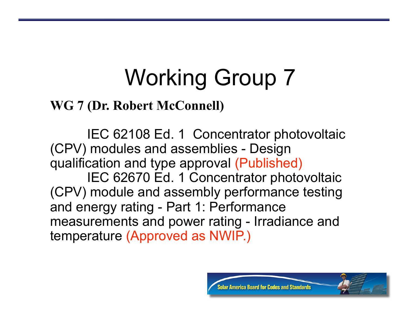#### **WG 7 (Dr. Robert McConnell)**

IEC 62108 Ed. 1 Concentrator photovoltaic (CPV) modules and assemblies - Design qualification and type approval (Published) IEC 62670 Ed. 1 Concentrator photovoltaic (CPV) module and assembly performance testing and energy rating - Part 1: Performance measurements and power rating - Irradiance and temperature (Approved as NWIP.)

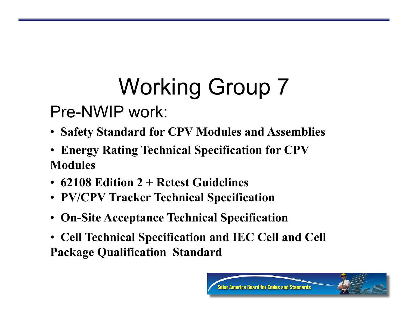#### Pre-NWIP work:

- • **Safety Standard for CPV Modules and Assemblies**
- • **Energy Rating Technical Specification for CPV Modules**
- • **62108 Edition 2 + Retest Guidelines**
- • **PV/CPV Tracker Technical Specification**
- • **On-Site Acceptance Technical Specification**
- • **Cell Technical Specification and IEC Cell and Cell Package Qualification Standard**

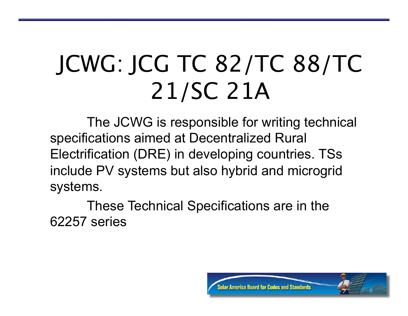## JCWG: JCG TC 82/TC 88/TC 21/SC 21A

The JCWG is responsible for writing technical specifications aimed at Decentralized Rural Electrification (DRE) in developing countries. TSs include PV systems but also hybrid and microgrid systems.

These Technical Specifications are in the 62257 series

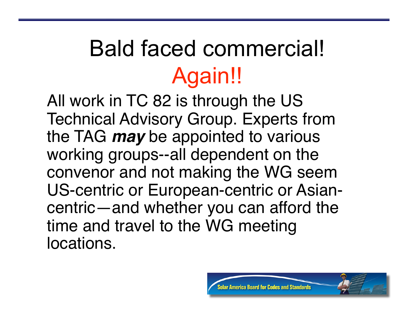### Bald faced commercial! Again!!

All work in TC 82 is through the US Technical Advisory Group. Experts from the TAG *may* be appointed to various working groups--all dependent on the convenor and not making the WG seem US-centric or European-centric or Asiancentric—and whether you can afford the time and travel to the WG meeting locations.